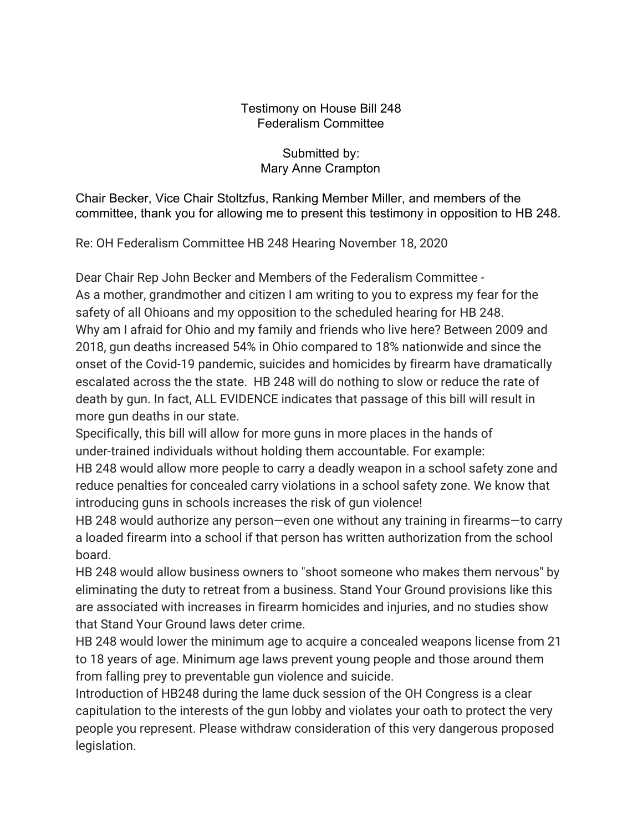## Testimony on House Bill 248 Federalism Committee

Submitted by: Mary Anne Crampton

Chair Becker, Vice Chair Stoltzfus, Ranking Member Miller, and members of the committee, thank you for allowing me to present this testimony in opposition to HB 248.

Re: OH Federalism Committee HB 248 Hearing November 18, 2020

Dear Chair Rep John Becker and Members of the Federalism Committee - As a mother, grandmother and citizen I am writing to you to express my fear for the safety of all Ohioans and my opposition to the scheduled hearing for HB 248. Why am I afraid for Ohio and my family and friends who live here? Between 2009 and 2018, gun deaths increased 54% in Ohio compared to 18% nationwide and since the onset of the Covid-19 pandemic, suicides and homicides by firearm have dramatically escalated across the the state. HB 248 will do nothing to slow or reduce the rate of death by gun. In fact, ALL EVIDENCE indicates that passage of this bill will result in more gun deaths in our state.

Specifically, this bill will allow for more guns in more places in the hands of under-trained individuals without holding them accountable. For example: HB 248 would allow more people to carry a deadly weapon in a school safety zone and reduce penalties for concealed carry violations in a school safety zone. We know that introducing guns in schools increases the risk of gun violence!

HB 248 would authorize any person—even one without any training in firearms—to carry a loaded firearm into a school if that person has written authorization from the school board.

HB 248 would allow business owners to "shoot someone who makes them nervous" by eliminating the duty to retreat from a business. Stand Your Ground provisions like this are associated with increases in firearm homicides and injuries, and no studies show that Stand Your Ground laws deter crime.

HB 248 would lower the minimum age to acquire a concealed weapons license from 21 to 18 years of age. Minimum age laws prevent young people and those around them from falling prey to preventable gun violence and suicide.

Introduction of HB248 during the lame duck session of the OH Congress is a clear capitulation to the interests of the gun lobby and violates your oath to protect the very people you represent. Please withdraw consideration of this very dangerous proposed legislation.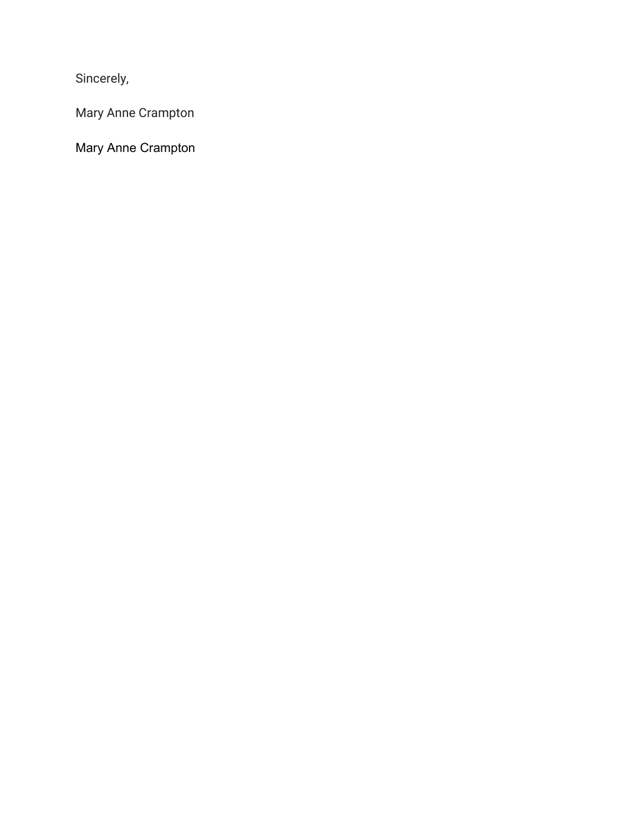Sincerely,

Mary Anne Crampton

Mary Anne Crampton